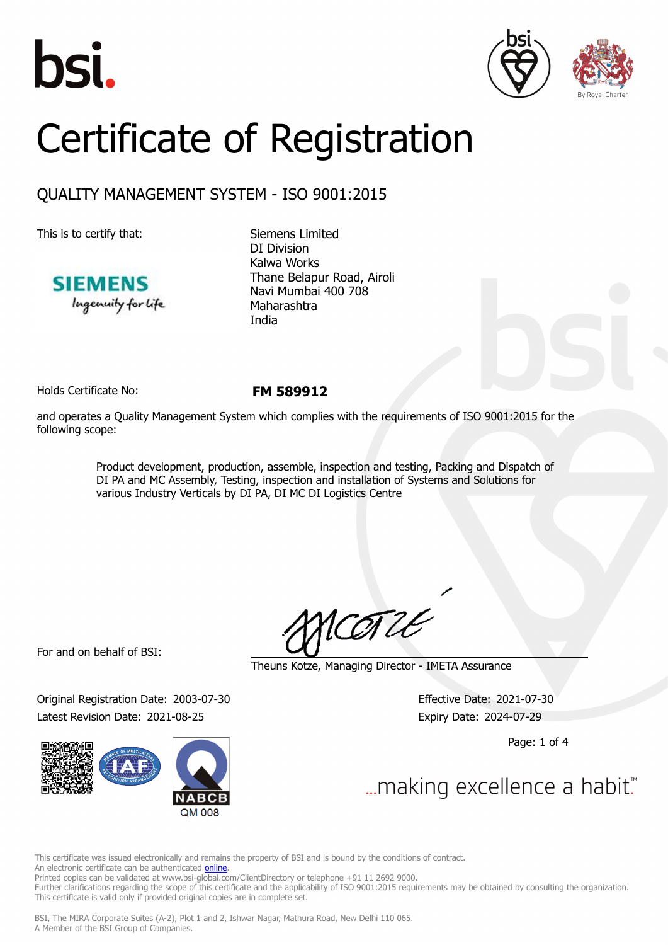





# Certificate of Registration

## QUALITY MANAGEMENT SYSTEM - ISO 9001:2015

This is to certify that: Siemens Limited



DI Division Kalwa Works Thane Belapur Road, Airoli Navi Mumbai 400 708 Maharashtra India

Holds Certificate No: **FM 589912**

and operates a Quality Management System which complies with the requirements of ISO 9001:2015 for the following scope:

> Product development, production, assemble, inspection and testing, Packing and Dispatch of DI PA and MC Assembly, Testing, inspection and installation of Systems and Solutions for various Industry Verticals by DI PA, DI MC DI Logistics Centre

For and on behalf of BSI:

Original Registration Date: 2003-07-30 Effective Date: 2021-07-30 Latest Revision Date: 2021-08-25 Expiry Date: 2024-07-29



COTLE

Theuns Kotze, Managing Director - IMETA Assurance

Page: 1 of 4

... making excellence a habit."

This certificate was issued electronically and remains the property of BSI and is bound by the conditions of contract. An electronic certificate can be authenticated *[online](https://pgplus.bsigroup.com/CertificateValidation/CertificateValidator.aspx?CertificateNumber=FM+589912&ReIssueDate=25%2f08%2f2021&Template=india_en)*.

Printed copies can be validated at www.bsi-global.com/ClientDirectory or telephone +91 11 2692 9000.

Further clarifications regarding the scope of this certificate and the applicability of ISO 9001:2015 requirements may be obtained by consulting the organization. This certificate is valid only if provided original copies are in complete set.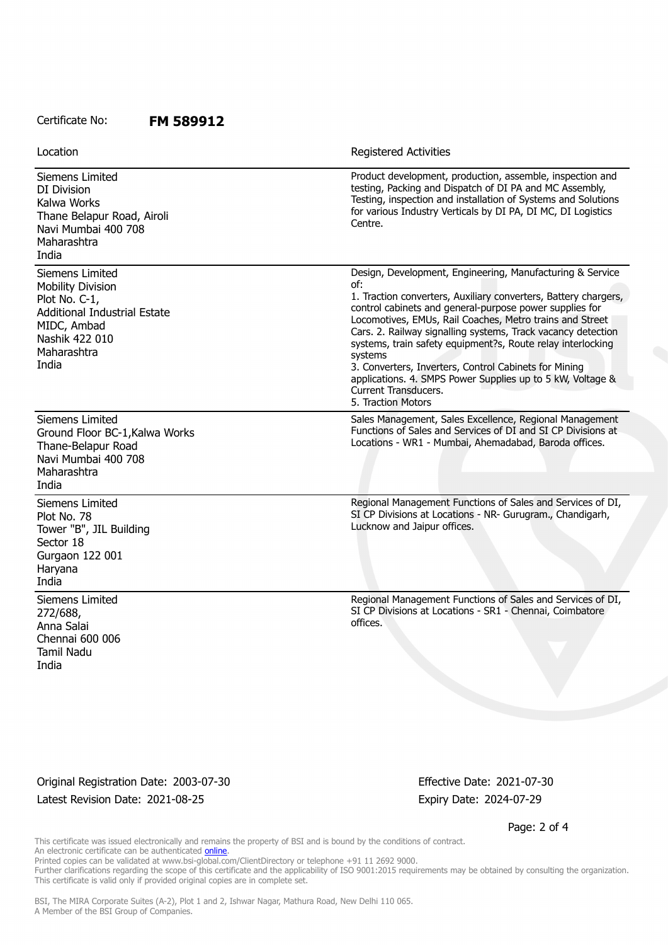#### Certificate No: **FM 589912**

| Location                                                                                                                                                     | Registered Activities                                                                                                                                                                                                                                                                                                                                                                                                                                                                                                                                                     |
|--------------------------------------------------------------------------------------------------------------------------------------------------------------|---------------------------------------------------------------------------------------------------------------------------------------------------------------------------------------------------------------------------------------------------------------------------------------------------------------------------------------------------------------------------------------------------------------------------------------------------------------------------------------------------------------------------------------------------------------------------|
| Siemens Limited<br>DI Division<br>Kalwa Works<br>Thane Belapur Road, Airoli<br>Navi Mumbai 400 708<br>Maharashtra<br>India                                   | Product development, production, assemble, inspection and<br>testing, Packing and Dispatch of DI PA and MC Assembly,<br>Testing, inspection and installation of Systems and Solutions<br>for various Industry Verticals by DI PA, DI MC, DI Logistics<br>Centre.                                                                                                                                                                                                                                                                                                          |
| Siemens Limited<br><b>Mobility Division</b><br>Plot No. C-1,<br><b>Additional Industrial Estate</b><br>MIDC, Ambad<br>Nashik 422 010<br>Maharashtra<br>India | Design, Development, Engineering, Manufacturing & Service<br>of:<br>1. Traction converters, Auxiliary converters, Battery chargers,<br>control cabinets and general-purpose power supplies for<br>Locomotives, EMUs, Rail Coaches, Metro trains and Street<br>Cars. 2. Railway signalling systems, Track vacancy detection<br>systems, train safety equipment?s, Route relay interlocking<br>systems<br>3. Converters, Inverters, Control Cabinets for Mining<br>applications. 4. SMPS Power Supplies up to 5 kW, Voltage &<br>Current Transducers.<br>5. Traction Motors |
| Siemens Limited<br>Ground Floor BC-1, Kalwa Works<br>Thane-Belapur Road<br>Navi Mumbai 400 708<br>Maharashtra<br>India                                       | Sales Management, Sales Excellence, Regional Management<br>Functions of Sales and Services of DI and SI CP Divisions at<br>Locations - WR1 - Mumbai, Ahemadabad, Baroda offices.                                                                                                                                                                                                                                                                                                                                                                                          |
| Siemens Limited<br>Plot No. 78<br>Tower "B", JIL Building<br>Sector 18<br>Gurgaon 122 001<br>Haryana<br>India                                                | Regional Management Functions of Sales and Services of DI,<br>SI CP Divisions at Locations - NR- Gurugram., Chandigarh,<br>Lucknow and Jaipur offices.                                                                                                                                                                                                                                                                                                                                                                                                                    |
| Siemens Limited<br>272/688,<br>Anna Salai<br>Chennai 600 006<br><b>Tamil Nadu</b><br>India                                                                   | Regional Management Functions of Sales and Services of DI,<br>SI CP Divisions at Locations - SR1 - Chennai, Coimbatore<br>offices.                                                                                                                                                                                                                                                                                                                                                                                                                                        |

Original Registration Date: 2003-07-30 Effective Date: 2021-07-30 Latest Revision Date: 2021-08-25 Expiry Date: 2024-07-29

Page: 2 of 4

This certificate was issued electronically and remains the property of BSI and is bound by the conditions of contract. An electronic certificate can be authenticated **[online](https://pgplus.bsigroup.com/CertificateValidation/CertificateValidator.aspx?CertificateNumber=FM+589912&ReIssueDate=25%2f08%2f2021&Template=india_en)**. Printed copies can be validated at www.bsi-global.com/ClientDirectory or telephone +91 11 2692 9000.

Further clarifications regarding the scope of this certificate and the applicability of ISO 9001:2015 requirements may be obtained by consulting the organization. This certificate is valid only if provided original copies are in complete set.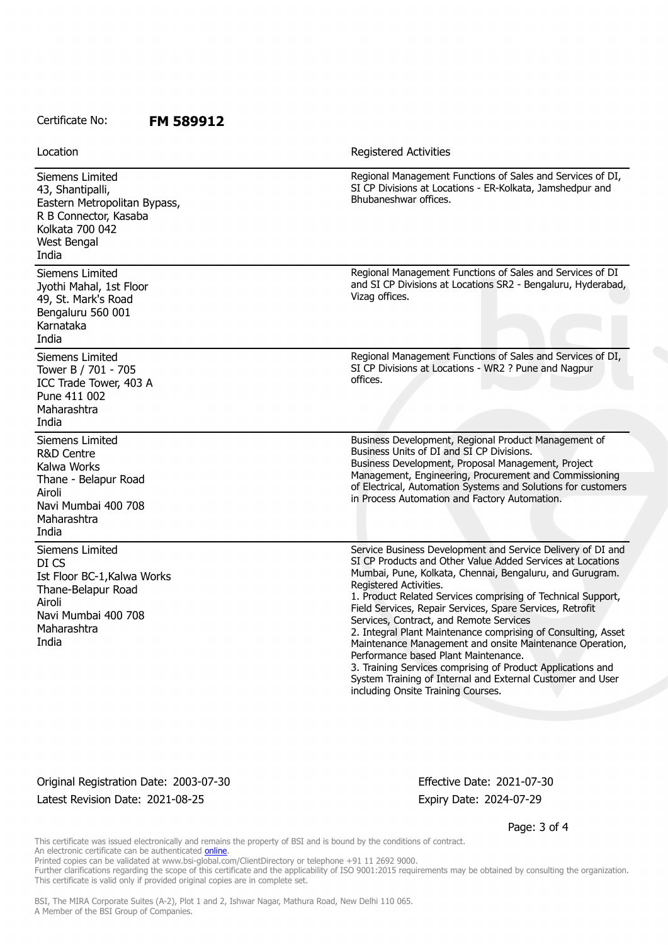### Certificate No: **FM 589912**

Siemens Limited 43, Shantipalli, Eastern Metropolitan Bypass, R B Connector, Kasaba Kolkata 700 042 West Bengal India Regional Management Functions of Sales and Services of DI, SI CP Divisions at Locations - ER-Kolkata, Jamshedpur and Bhubaneshwar offices. Siemens Limited Jyothi Mahal, 1st Floor 49, St. Mark's Road Bengaluru 560 001 Karnataka India Regional Management Functions of Sales and Services of DI and SI CP Divisions at Locations SR2 - Bengaluru, Hyderabad, Vizag offices. Siemens Limited Tower B / 701 - 705 ICC Trade Tower, 403 A Pune 411 002 Maharashtra India Regional Management Functions of Sales and Services of DI, SI CP Divisions at Locations - WR2 ? Pune and Nagpur offices. Siemens Limited R&D Centre Kalwa Works Thane - Belapur Road Airoli Navi Mumbai 400 708 Maharashtra India Business Development, Regional Product Management of Business Units of DI and SI CP Divisions. Business Development, Proposal Management, Project Management, Engineering, Procurement and Commissioning of Electrical, Automation Systems and Solutions for customers in Process Automation and Factory Automation. Siemens Limited DI CS Ist Floor BC-1,Kalwa Works Thane-Belapur Road Airoli Navi Mumbai 400 708 Maharashtra India Service Business Development and Service Delivery of DI and SI CP Products and Other Value Added Services at Locations Mumbai, Pune, Kolkata, Chennai, Bengaluru, and Gurugram. Registered Activities. 1. Product Related Services comprising of Technical Support, Field Services, Repair Services, Spare Services, Retrofit Services, Contract, and Remote Services 2. Integral Plant Maintenance comprising of Consulting, Asset Maintenance Management and onsite Maintenance Operation, Performance based Plant Maintenance. 3. Training Services comprising of Product Applications and System Training of Internal and External Customer and User including Onsite Training Courses. Location **Exercise 2018 Location Registered Activities** 

Original Registration Date: 2003-07-30 Effective Date: 2021-07-30 Latest Revision Date: 2021-08-25 Expiry Date: 2024-07-29

Page: 3 of 4

This certificate was issued electronically and remains the property of BSI and is bound by the conditions of contract. An electronic certificate can be authenticated [online](https://pgplus.bsigroup.com/CertificateValidation/CertificateValidator.aspx?CertificateNumber=FM+589912&ReIssueDate=25%2f08%2f2021&Template=india_en).

Printed copies can be validated at www.bsi-global.com/ClientDirectory or telephone +91 11 2692 9000.

Further clarifications regarding the scope of this certificate and the applicability of ISO 9001:2015 requirements may be obtained by consulting the organization. This certificate is valid only if provided original copies are in complete set.